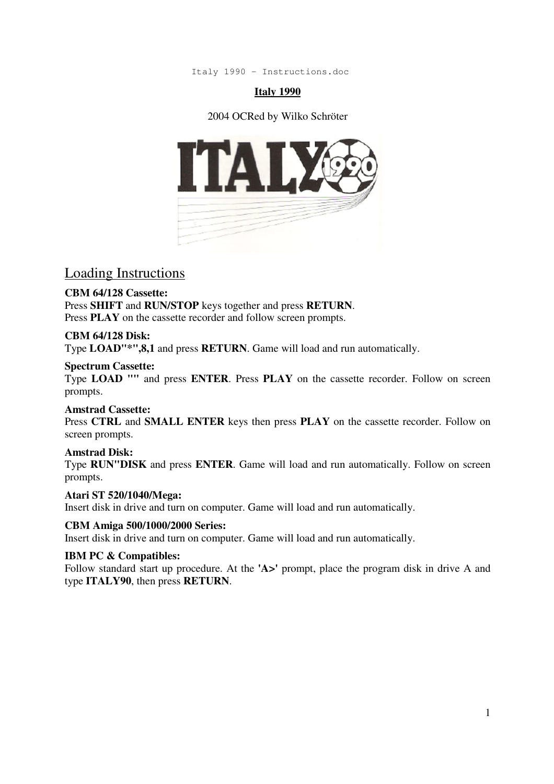Italy 1990 - Instructions.doc

### **Italy 1990**

### 2004 OCRed by Wilko Schröter



Loading Instructions

### **CBM 64/128 Cassette:**

Press **SHIFT** and **RUN/STOP** keys together and press **RETURN**. Press **PLAY** on the cassette recorder and follow screen prompts.

### **CBM 64/128 Disk:**

Type **LOAD"\*",8,1** and press **RETURN**. Game will load and run automatically.

### **Spectrum Cassette:**

Type **LOAD ""** and press **ENTER**. Press **PLAY** on the cassette recorder. Follow on screen prompts.

### **Amstrad Cassette:**

Press **CTRL** and **SMALL ENTER** keys then press **PLAY** on the cassette recorder. Follow on screen prompts.

### **Amstrad Disk:**

Type **RUN"DISK** and press **ENTER**. Game will load and run automatically. Follow on screen prompts.

### **Atari ST 520/1040/Mega:**

Insert disk in drive and turn on computer. Game will load and run automatically.

### **CBM Amiga 500/1000/2000 Series:**

Insert disk in drive and turn on computer. Game will load and run automatically.

### **IBM PC & Compatibles:**

Follow standard start up procedure. At the **'A>'** prompt, place the program disk in drive A and type **ITALY90**, then press **RETURN**.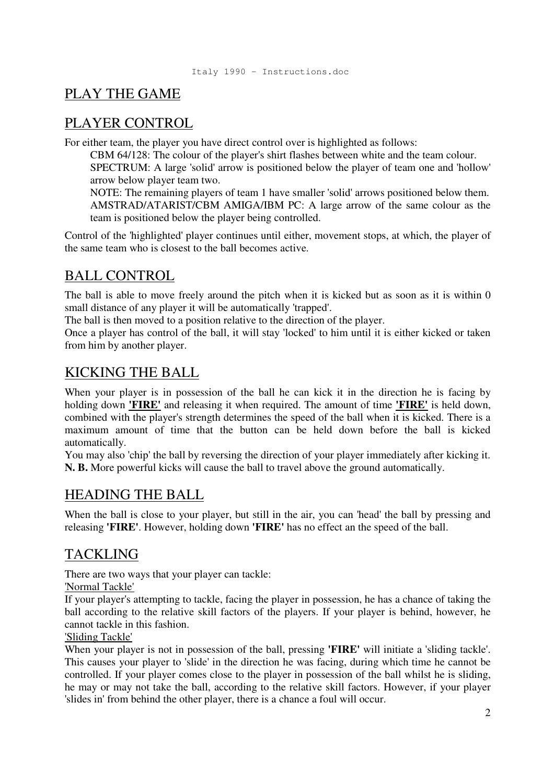# PLAY THE GAME

### PLAYER CONTROL

For either team, the player you have direct control over is highlighted as follows:

CBM 64/128: The colour of the player's shirt flashes between white and the team colour. SPECTRUM: A large 'solid' arrow is positioned below the player of team one and 'hollow'

arrow below player team two.

NOTE: The remaining players of team 1 have smaller 'solid' arrows positioned below them. AMSTRAD/ATARIST/CBM AMIGA/IBM PC: A large arrow of the same colour as the team is positioned below the player being controlled.

Control of the 'highlighted' player continues until either, movement stops, at which, the player of the same team who is closest to the ball becomes active.

# BALL CONTROL

The ball is able to move freely around the pitch when it is kicked but as soon as it is within 0 small distance of any player it will be automatically 'trapped'.

The ball is then moved to a position relative to the direction of the player.

Once a player has control of the ball, it will stay 'locked' to him until it is either kicked or taken from him by another player.

# KICKING THE BALL

When your player is in possession of the ball he can kick it in the direction he is facing by holding down **'FIRE'** and releasing it when required. The amount of time **'FIRE'** is held down, combined with the player's strength determines the speed of the ball when it is kicked. There is a maximum amount of time that the button can be held down before the ball is kicked automatically.

You may also 'chip' the ball by reversing the direction of your player immediately after kicking it. **N. B.** More powerful kicks will cause the ball to travel above the ground automatically.

## HEADING THE BALL

When the ball is close to your player, but still in the air, you can 'head' the ball by pressing and releasing **'FIRE'**. However, holding down **'FIRE'** has no effect an the speed of the ball.

# TACKLING

There are two ways that your player can tackle:

'Normal Tackle'

If your player's attempting to tackle, facing the player in possession, he has a chance of taking the ball according to the relative skill factors of the players. If your player is behind, however, he cannot tackle in this fashion.

### 'Sliding Tackle'

When your player is not in possession of the ball, pressing **'FIRE'** will initiate a 'sliding tackle'. This causes your player to 'slide' in the direction he was facing, during which time he cannot be controlled. If your player comes close to the player in possession of the ball whilst he is sliding, he may or may not take the ball, according to the relative skill factors. However, if your player 'slides in' from behind the other player, there is a chance a foul will occur.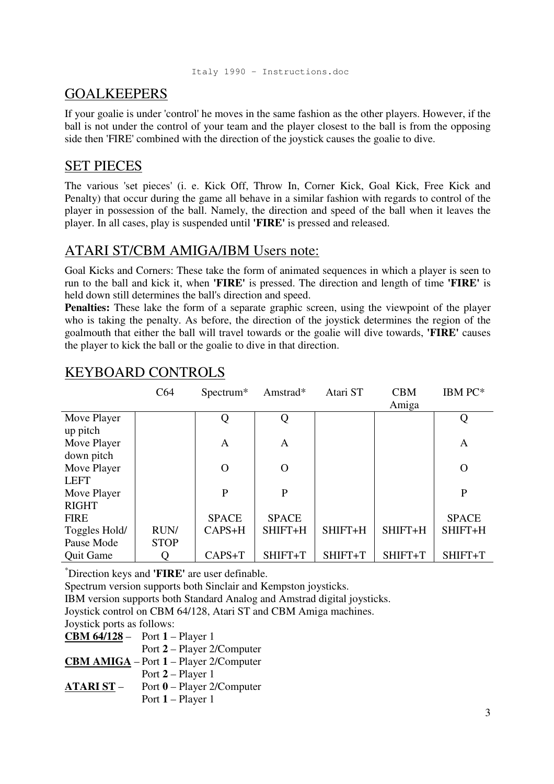# GOALKEEPERS

If your goalie is under 'control' he moves in the same fashion as the other players. However, if the ball is not under the control of your team and the player closest to the ball is from the opposing side then 'FIRE' combined with the direction of the joystick causes the goalie to dive.

## SET PIECES

The various 'set pieces' (i. e. Kick Off, Throw In, Corner Kick, Goal Kick, Free Kick and Penalty) that occur during the game all behave in a similar fashion with regards to control of the player in possession of the ball. Namely, the direction and speed of the ball when it leaves the player. In all cases, play is suspended until **'FIRE'** is pressed and released.

## ATARI ST/CBM AMIGA/IBM Users note:

Goal Kicks and Corners: These take the form of animated sequences in which a player is seen to run to the ball and kick it, when **'FIRE'** is pressed. The direction and length of time **'FIRE'** is held down still determines the ball's direction and speed.

**Penalties:** These lake the form of a separate graphic screen, using the viewpoint of the player who is taking the penalty. As before, the direction of the joystick determines the region of the goalmouth that either the ball will travel towards or the goalie will dive towards, **'FIRE'** causes the player to kick the ball or the goalie to dive in that direction.

|                         | C64         | Spectrum*    | Amstrad*     | Atari ST | <b>CBM</b> | IBM PC*        |
|-------------------------|-------------|--------------|--------------|----------|------------|----------------|
|                         |             |              |              |          | Amiga      |                |
| Move Player<br>up pitch |             | Q            | Q            |          |            | Q              |
| Move Player             |             | A            | A            |          |            | A              |
| down pitch              |             |              |              |          |            |                |
| Move Player             |             | $\mathbf{O}$ | $\mathbf{O}$ |          |            | $\overline{O}$ |
| <b>LEFT</b>             |             |              |              |          |            |                |
| Move Player             |             | $\mathbf{P}$ | $\mathbf{P}$ |          |            | $\mathbf{P}$   |
| <b>RIGHT</b>            |             |              |              |          |            |                |
| <b>FIRE</b>             |             | <b>SPACE</b> | <b>SPACE</b> |          |            | <b>SPACE</b>   |
| Toggles Hold/           | RUN/        | CAPS+H       | SHIFT+H      | SHIFT+H  | SHIFT+H    | SHIFT+H        |
| Pause Mode              | <b>STOP</b> |              |              |          |            |                |
| <b>Quit Game</b>        |             | CAPS+T       | SHIFT+T      | SHIFT+T  | SHIFT+T    | SHIFT+T        |

# KEYBOARD CONTROLS

\*Direction keys and **'FIRE'** are user definable.

Spectrum version supports both Sinclair and Kempston joysticks.

IBM version supports both Standard Analog and Amstrad digital joysticks.

Joystick control on CBM 64/128, Atari ST and CBM Amiga machines.

Joystick ports as follows:

|                 | <b>CBM 64/128</b> – Port $1 -$ Player 1       |
|-----------------|-----------------------------------------------|
|                 | Port 2 – Player 2/Computer                    |
|                 | <b>CBM AMIGA</b> – Port 1 – Player 2/Computer |
|                 | Port $2$ – Player 1                           |
| <b>ATARIST-</b> | Port $0$ – Player 2/Computer                  |
|                 | Port $1$ – Player 1                           |